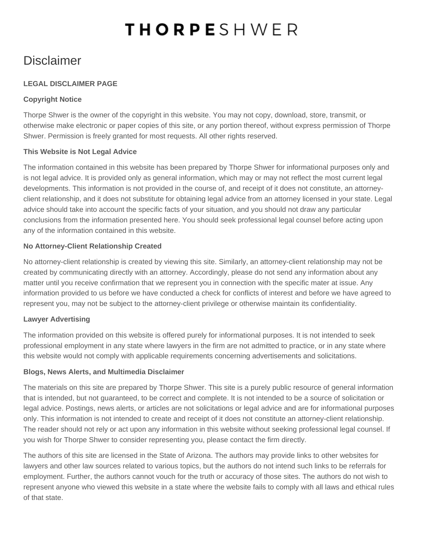# **THORPESHWER**

# **Disclaimer**

# **LEGAL DISCLAIMER PAGE**

# **Copyright Notice**

Thorpe Shwer is the owner of the copyright in this website. You may not copy, download, store, transmit, or otherwise make electronic or paper copies of this site, or any portion thereof, without express permission of Thorpe Shwer. Permission is freely granted for most requests. All other rights reserved.

### **This Website is Not Legal Advice**

The information contained in this website has been prepared by Thorpe Shwer for informational purposes only and is not legal advice. It is provided only as general information, which may or may not reflect the most current legal developments. This information is not provided in the course of, and receipt of it does not constitute, an attorneyclient relationship, and it does not substitute for obtaining legal advice from an attorney licensed in your state. Legal advice should take into account the specific facts of your situation, and you should not draw any particular conclusions from the information presented here. You should seek professional legal counsel before acting upon any of the information contained in this website.

### **No Attorney-Client Relationship Created**

No attorney-client relationship is created by viewing this site. Similarly, an attorney-client relationship may not be created by communicating directly with an attorney. Accordingly, please do not send any information about any matter until you receive confirmation that we represent you in connection with the specific mater at issue. Any information provided to us before we have conducted a check for conflicts of interest and before we have agreed to represent you, may not be subject to the attorney-client privilege or otherwise maintain its confidentiality.

### **Lawyer Advertising**

The information provided on this website is offered purely for informational purposes. It is not intended to seek professional employment in any state where lawyers in the firm are not admitted to practice, or in any state where this website would not comply with applicable requirements concerning advertisements and solicitations.

### **Blogs, News Alerts, and Multimedia Disclaimer**

The materials on this site are prepared by Thorpe Shwer. This site is a purely public resource of general information that is intended, but not guaranteed, to be correct and complete. It is not intended to be a source of solicitation or legal advice. Postings, news alerts, or articles are not solicitations or legal advice and are for informational purposes only. This information is not intended to create and receipt of it does not constitute an attorney-client relationship. The reader should not rely or act upon any information in this website without seeking professional legal counsel. If you wish for Thorpe Shwer to consider representing you, please contact the firm directly.

The authors of this site are licensed in the State of Arizona. The authors may provide links to other websites for lawyers and other law sources related to various topics, but the authors do not intend such links to be referrals for employment. Further, the authors cannot vouch for the truth or accuracy of those sites. The authors do not wish to represent anyone who viewed this website in a state where the website fails to comply with all laws and ethical rules of that state.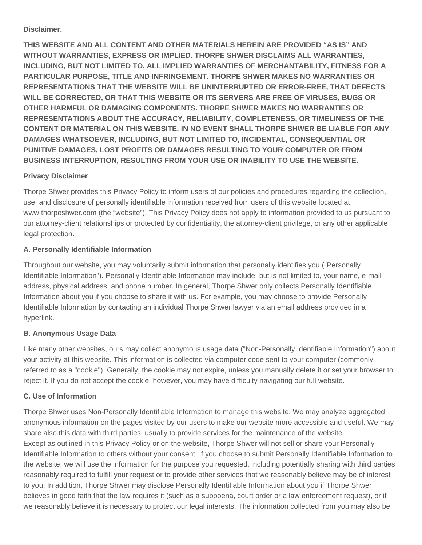#### **Disclaimer.**

**THIS WEBSITE AND ALL CONTENT AND OTHER MATERIALS HEREIN ARE PROVIDED "AS IS" AND WITHOUT WARRANTIES, EXPRESS OR IMPLIED. THORPE SHWER DISCLAIMS ALL WARRANTIES, INCLUDING, BUT NOT LIMITED TO, ALL IMPLIED WARRANTIES OF MERCHANTABILITY, FITNESS FOR A PARTICULAR PURPOSE, TITLE AND INFRINGEMENT. THORPE SHWER MAKES NO WARRANTIES OR REPRESENTATIONS THAT THE WEBSITE WILL BE UNINTERRUPTED OR ERROR-FREE, THAT DEFECTS WILL BE CORRECTED, OR THAT THIS WEBSITE OR ITS SERVERS ARE FREE OF VIRUSES, BUGS OR OTHER HARMFUL OR DAMAGING COMPONENTS. THORPE SHWER MAKES NO WARRANTIES OR REPRESENTATIONS ABOUT THE ACCURACY, RELIABILITY, COMPLETENESS, OR TIMELINESS OF THE CONTENT OR MATERIAL ON THIS WEBSITE. IN NO EVENT SHALL THORPE SHWER BE LIABLE FOR ANY DAMAGES WHATSOEVER, INCLUDING, BUT NOT LIMITED TO, INCIDENTAL, CONSEQUENTIAL OR PUNITIVE DAMAGES, LOST PROFITS OR DAMAGES RESULTING TO YOUR COMPUTER OR FROM BUSINESS INTERRUPTION, RESULTING FROM YOUR USE OR INABILITY TO USE THE WEBSITE.**

### **Privacy Disclaimer**

Thorpe Shwer provides this Privacy Policy to inform users of our policies and procedures regarding the collection, use, and disclosure of personally identifiable information received from users of this website located at www.thorpeshwer.com (the "website"). This Privacy Policy does not apply to information provided to us pursuant to our attorney-client relationships or protected by confidentiality, the attorney-client privilege, or any other applicable legal protection.

# **A. Personally Identifiable Information**

Throughout our website, you may voluntarily submit information that personally identifies you ("Personally Identifiable Information"). Personally Identifiable Information may include, but is not limited to, your name, e-mail address, physical address, and phone number. In general, Thorpe Shwer only collects Personally Identifiable Information about you if you choose to share it with us. For example, you may choose to provide Personally Identifiable Information by contacting an individual Thorpe Shwer lawyer via an email address provided in a hyperlink.

# **B. Anonymous Usage Data**

Like many other websites, ours may collect anonymous usage data ("Non-Personally Identifiable Information") about your activity at this website. This information is collected via computer code sent to your computer (commonly referred to as a "cookie"). Generally, the cookie may not expire, unless you manually delete it or set your browser to reject it. If you do not accept the cookie, however, you may have difficulty navigating our full website.

### **C. Use of Information**

Thorpe Shwer uses Non-Personally Identifiable Information to manage this website. We may analyze aggregated anonymous information on the pages visited by our users to make our website more accessible and useful. We may share also this data with third parties, usually to provide services for the maintenance of the website. Except as outlined in this Privacy Policy or on the website, Thorpe Shwer will not sell or share your Personally Identifiable Information to others without your consent. If you choose to submit Personally Identifiable Information to the website, we will use the information for the purpose you requested, including potentially sharing with third parties reasonably required to fulfill your request or to provide other services that we reasonably believe may be of interest to you. In addition, Thorpe Shwer may disclose Personally Identifiable Information about you if Thorpe Shwer believes in good faith that the law requires it (such as a subpoena, court order or a law enforcement request), or if we reasonably believe it is necessary to protect our legal interests. The information collected from you may also be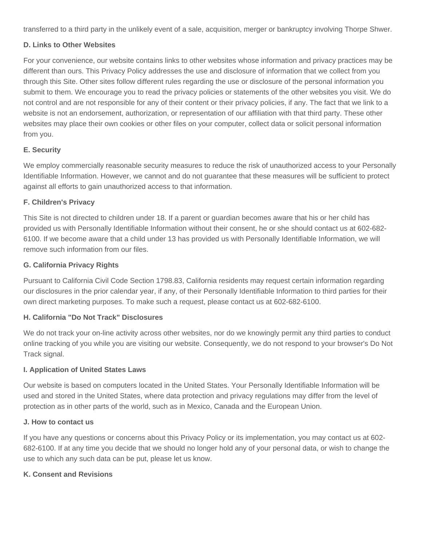transferred to a third party in the unlikely event of a sale, acquisition, merger or bankruptcy involving Thorpe Shwer.

### **D. Links to Other Websites**

For your convenience, our website contains links to other websites whose information and privacy practices may be different than ours. This Privacy Policy addresses the use and disclosure of information that we collect from you through this Site. Other sites follow different rules regarding the use or disclosure of the personal information you submit to them. We encourage you to read the privacy policies or statements of the other websites you visit. We do not control and are not responsible for any of their content or their privacy policies, if any. The fact that we link to a website is not an endorsement, authorization, or representation of our affiliation with that third party. These other websites may place their own cookies or other files on your computer, collect data or solicit personal information from you.

### **E. Security**

We employ commercially reasonable security measures to reduce the risk of unauthorized access to your Personally Identifiable Information. However, we cannot and do not guarantee that these measures will be sufficient to protect against all efforts to gain unauthorized access to that information.

#### **F. Children's Privacy**

This Site is not directed to children under 18. If a parent or guardian becomes aware that his or her child has provided us with Personally Identifiable Information without their consent, he or she should contact us at 602-682- 6100. If we become aware that a child under 13 has provided us with Personally Identifiable Information, we will remove such information from our files.

#### **G. California Privacy Rights**

Pursuant to California Civil Code Section 1798.83, California residents may request certain information regarding our disclosures in the prior calendar year, if any, of their Personally Identifiable Information to third parties for their own direct marketing purposes. To make such a request, please contact us at 602-682-6100.

#### **H. California "Do Not Track" Disclosures**

We do not track your on-line activity across other websites, nor do we knowingly permit any third parties to conduct online tracking of you while you are visiting our website. Consequently, we do not respond to your browser's Do Not Track signal.

#### **I. Application of United States Laws**

Our website is based on computers located in the United States. Your Personally Identifiable Information will be used and stored in the United States, where data protection and privacy regulations may differ from the level of protection as in other parts of the world, such as in Mexico, Canada and the European Union.

#### **J. How to contact us**

If you have any questions or concerns about this Privacy Policy or its implementation, you may contact us at 602- 682-6100. If at any time you decide that we should no longer hold any of your personal data, or wish to change the use to which any such data can be put, please let us know.

#### **K. Consent and Revisions**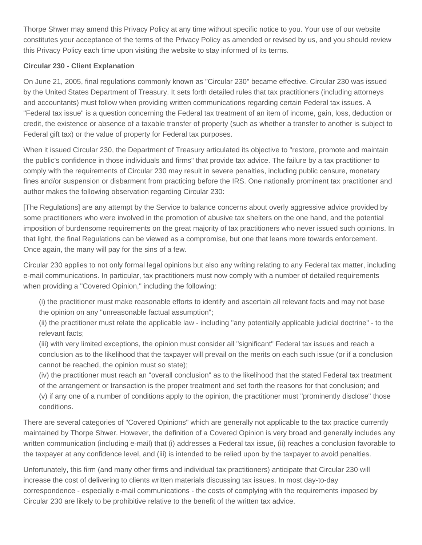Thorpe Shwer may amend this Privacy Policy at any time without specific notice to you. Your use of our website constitutes your acceptance of the terms of the Privacy Policy as amended or revised by us, and you should review this Privacy Policy each time upon visiting the website to stay informed of its terms.

# **Circular 230 - Client Explanation**

On June 21, 2005, final regulations commonly known as "Circular 230" became effective. Circular 230 was issued by the United States Department of Treasury. It sets forth detailed rules that tax practitioners (including attorneys and accountants) must follow when providing written communications regarding certain Federal tax issues. A "Federal tax issue" is a question concerning the Federal tax treatment of an item of income, gain, loss, deduction or credit, the existence or absence of a taxable transfer of property (such as whether a transfer to another is subject to Federal gift tax) or the value of property for Federal tax purposes.

When it issued Circular 230, the Department of Treasury articulated its objective to "restore, promote and maintain the public's confidence in those individuals and firms" that provide tax advice. The failure by a tax practitioner to comply with the requirements of Circular 230 may result in severe penalties, including public censure, monetary fines and/or suspension or disbarment from practicing before the IRS. One nationally prominent tax practitioner and author makes the following observation regarding Circular 230:

[The Regulations] are any attempt by the Service to balance concerns about overly aggressive advice provided by some practitioners who were involved in the promotion of abusive tax shelters on the one hand, and the potential imposition of burdensome requirements on the great majority of tax practitioners who never issued such opinions. In that light, the final Regulations can be viewed as a compromise, but one that leans more towards enforcement. Once again, the many will pay for the sins of a few.

Circular 230 applies to not only formal legal opinions but also any writing relating to any Federal tax matter, including e-mail communications. In particular, tax practitioners must now comply with a number of detailed requirements when providing a "Covered Opinion," including the following:

(i) the practitioner must make reasonable efforts to identify and ascertain all relevant facts and may not base the opinion on any "unreasonable factual assumption";

(ii) the practitioner must relate the applicable law - including "any potentially applicable judicial doctrine" - to the relevant facts;

(iii) with very limited exceptions, the opinion must consider all "significant" Federal tax issues and reach a conclusion as to the likelihood that the taxpayer will prevail on the merits on each such issue (or if a conclusion cannot be reached, the opinion must so state);

(iv) the practitioner must reach an "overall conclusion" as to the likelihood that the stated Federal tax treatment of the arrangement or transaction is the proper treatment and set forth the reasons for that conclusion; and (v) if any one of a number of conditions apply to the opinion, the practitioner must "prominently disclose" those conditions.

There are several categories of "Covered Opinions" which are generally not applicable to the tax practice currently maintained by Thorpe Shwer. However, the definition of a Covered Opinion is very broad and generally includes any written communication (including e-mail) that (i) addresses a Federal tax issue, (ii) reaches a conclusion favorable to the taxpayer at any confidence level, and (iii) is intended to be relied upon by the taxpayer to avoid penalties.

Unfortunately, this firm (and many other firms and individual tax practitioners) anticipate that Circular 230 will increase the cost of delivering to clients written materials discussing tax issues. In most day-to-day correspondence - especially e-mail communications - the costs of complying with the requirements imposed by Circular 230 are likely to be prohibitive relative to the benefit of the written tax advice.